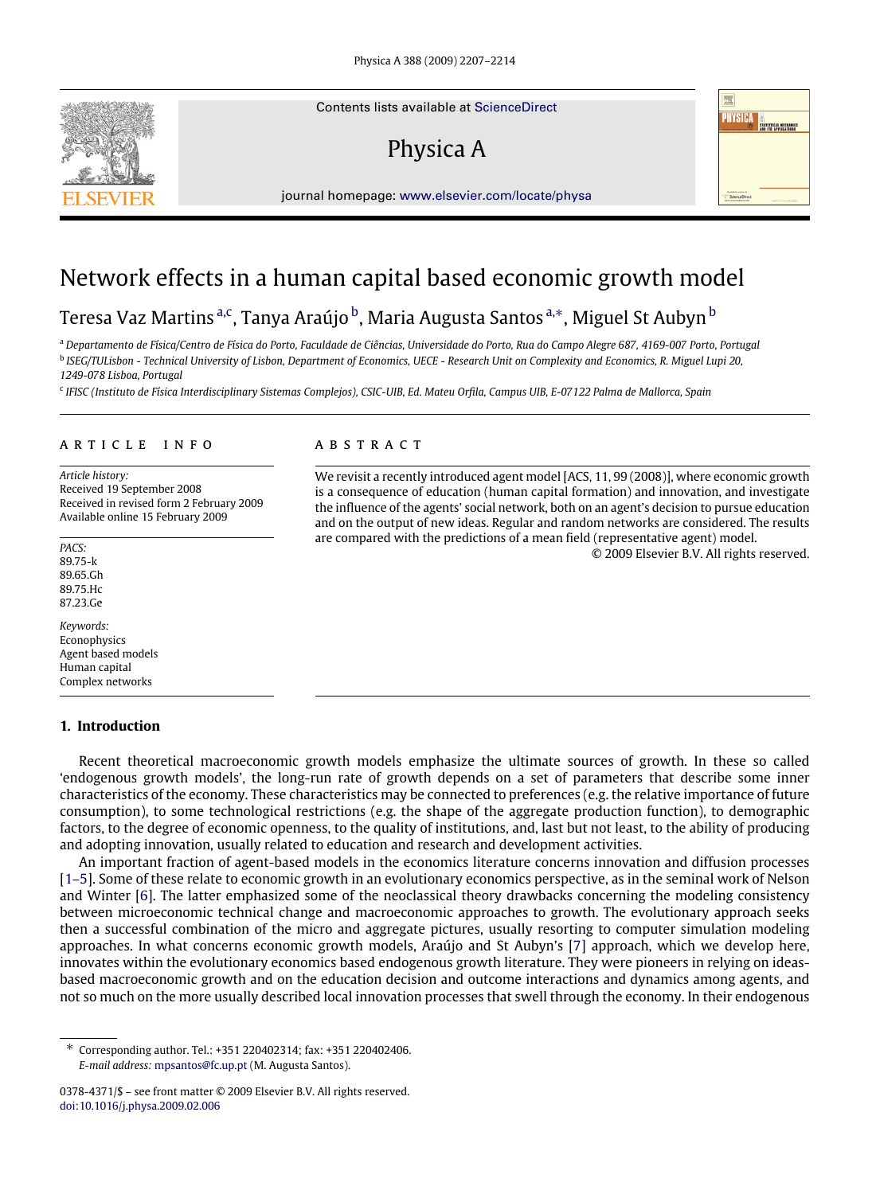Contents lists available at [ScienceDirect](http://www.elsevier.com/locate/physa)

# Physica A



journal homepage: [www.elsevier.com/locate/physa](http://www.elsevier.com/locate/physa)

### Network effects in a human capital based economic growth model

### Teresa Vaz Martins <sup>[a,](#page-0-0)[c](#page-0-1)</sup>, Tanya Araújo <sup>[b](#page-0-2)</sup>, Maria Augusta Santos <sup>a,</sup>\*, Miguel St Aubyn <sup>b</sup>

<span id="page-0-2"></span><span id="page-0-0"></span><sup>a</sup> *Departamento de Física/Centro de Física do Porto, Faculdade de Ciências, Universidade do Porto, Rua do Campo Alegre 687, 4169-007 Porto, Portugal* b *ISEG/TULisbon - Technical University of Lisbon, Department of Economics, UECE - Research Unit on Complexity and Economics, R. Miguel Lupi 20, 1249-078 Lisboa, Portugal*

<span id="page-0-1"></span>c *IFISC (Instituto de Física Interdisciplinary Sistemas Complejos), CSIC-UIB, Ed. Mateu Orfila, Campus UIB, E-07122 Palma de Mallorca, Spain*

#### ARTICLE INFO

*Article history:* Received 19 September 2008 Received in revised form 2 February 2009 Available online 15 February 2009

*PACS:* 89.75-k 89.65.Gh 89.75.Hc 87.23.Ge

*Keywords:* Econophysics Agent based models Human capital Complex networks

#### **1. Introduction**

#### a b s t r a c t

We revisit a recently introduced agent model [ACS, 11, 99 (2008)], where economic growth is a consequence of education (human capital formation) and innovation, and investigate the influence of the agents' social network, both on an agent's decision to pursue education and on the output of new ideas. Regular and random networks are considered. The results are compared with the predictions of a mean field (representative agent) model.

© 2009 Elsevier B.V. All rights reserved.

Recent theoretical macroeconomic growth models emphasize the ultimate sources of growth. In these so called 'endogenous growth models', the long-run rate of growth depends on a set of parameters that describe some inner characteristics of the economy. These characteristics may be connected to preferences (e.g. the relative importance of future consumption), to some technological restrictions (e.g. the shape of the aggregate production function), to demographic factors, to the degree of economic openness, to the quality of institutions, and, last but not least, to the ability of producing and adopting innovation, usually related to education and research and development activities.

An important fraction of agent-based models in the economics literature concerns innovation and diffusion processes [\[1–5\]](#page--1-0). Some of these relate to economic growth in an evolutionary economics perspective, as in the seminal work of Nelson and Winter [\[6\]](#page--1-1). The latter emphasized some of the neoclassical theory drawbacks concerning the modeling consistency between microeconomic technical change and macroeconomic approaches to growth. The evolutionary approach seeks then a successful combination of the micro and aggregate pictures, usually resorting to computer simulation modeling approaches. In what concerns economic growth models, Araújo and St Aubyn's [\[7\]](#page--1-2) approach, which we develop here, innovates within the evolutionary economics based endogenous growth literature. They were pioneers in relying on ideasbased macroeconomic growth and on the education decision and outcome interactions and dynamics among agents, and not so much on the more usually described local innovation processes that swell through the economy. In their endogenous

<span id="page-0-3"></span><sup>∗</sup> Corresponding author. Tel.: +351 220402314; fax: +351 220402406. *E-mail address:* [mpsantos@fc.up.pt](mailto:mpsantos@fc.up.pt) (M. Augusta Santos).

<sup>0378-4371/\$ –</sup> see front matter © 2009 Elsevier B.V. All rights reserved. [doi:10.1016/j.physa.2009.02.006](http://dx.doi.org/10.1016/j.physa.2009.02.006)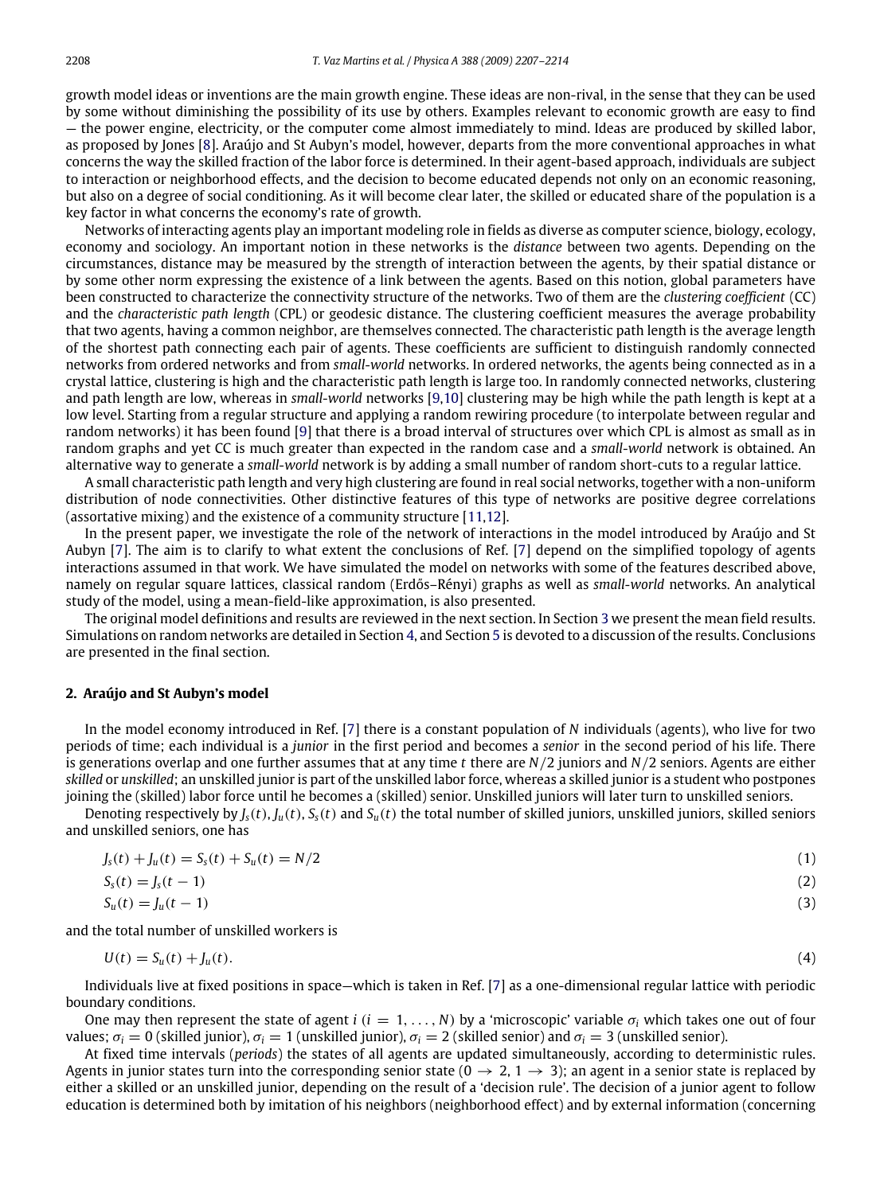growth model ideas or inventions are the main growth engine. These ideas are non-rival, in the sense that they can be used by some without diminishing the possibility of its use by others. Examples relevant to economic growth are easy to find — the power engine, electricity, or the computer come almost immediately to mind. Ideas are produced by skilled labor, as proposed by Jones [\[8\]](#page--1-3). Araújo and St Aubyn's model, however, departs from the more conventional approaches in what concerns the way the skilled fraction of the labor force is determined. In their agent-based approach, individuals are subject to interaction or neighborhood effects, and the decision to become educated depends not only on an economic reasoning, but also on a degree of social conditioning. As it will become clear later, the skilled or educated share of the population is a key factor in what concerns the economy's rate of growth.

Networks of interacting agents play an important modeling role in fields as diverse as computer science, biology, ecology, economy and sociology. An important notion in these networks is the *distance* between two agents. Depending on the circumstances, distance may be measured by the strength of interaction between the agents, by their spatial distance or by some other norm expressing the existence of a link between the agents. Based on this notion, global parameters have been constructed to characterize the connectivity structure of the networks. Two of them are the *clustering coefficient* (CC) and the *characteristic path length* (CPL) or geodesic distance. The clustering coefficient measures the average probability that two agents, having a common neighbor, are themselves connected. The characteristic path length is the average length of the shortest path connecting each pair of agents. These coefficients are sufficient to distinguish randomly connected networks from ordered networks and from *small-world* networks. In ordered networks, the agents being connected as in a crystal lattice, clustering is high and the characteristic path length is large too. In randomly connected networks, clustering and path length are low, whereas in *small-world* networks [\[9,](#page--1-4)[10\]](#page--1-5) clustering may be high while the path length is kept at a low level. Starting from a regular structure and applying a random rewiring procedure (to interpolate between regular and random networks) it has been found [\[9\]](#page--1-4) that there is a broad interval of structures over which CPL is almost as small as in random graphs and yet CC is much greater than expected in the random case and a *small-world* network is obtained. An alternative way to generate a *small-world* network is by adding a small number of random short-cuts to a regular lattice.

A small characteristic path length and very high clustering are found in real social networks, together with a non-uniform distribution of node connectivities. Other distinctive features of this type of networks are positive degree correlations (assortative mixing) and the existence of a community structure [\[11](#page--1-6)[,12\]](#page--1-7).

In the present paper, we investigate the role of the network of interactions in the model introduced by Araújo and St Aubyn [\[7\]](#page--1-2). The aim is to clarify to what extent the conclusions of Ref. [\[7\]](#page--1-2) depend on the simplified topology of agents interactions assumed in that work. We have simulated the model on networks with some of the features described above, namely on regular square lattices, classical random (Erdős–Rényi) graphs as well as *small-world* networks. An analytical study of the model, using a mean-field-like approximation, is also presented.

The original model definitions and results are reviewed in the next section. In Section [3](#page--1-8) we present the mean field results. Simulations on random networks are detailed in Section [4,](#page--1-9) and Section [5](#page--1-10) is devoted to a discussion of the results. Conclusions are presented in the final section.

#### **2. Araújo and St Aubyn's model**

In the model economy introduced in Ref. [\[7\]](#page--1-2) there is a constant population of *N* individuals (agents), who live for two periods of time; each individual is a *junior* in the first period and becomes a *senior* in the second period of his life. There is generations overlap and one further assumes that at any time *t* there are *N*/2 juniors and *N*/2 seniors. Agents are either *skilled* or *unskilled*; an unskilled junior is part of the unskilled labor force, whereas a skilled junior is a student who postpones joining the (skilled) labor force until he becomes a (skilled) senior. Unskilled juniors will later turn to unskilled seniors.

Denoting respectively by  $J_s(t)$ ,  $J_u(t)$ ,  $S_s(t)$  and  $S_u(t)$  the total number of skilled juniors, unskilled juniors, skilled seniors and unskilled seniors, one has

| $J_s(t) + J_u(t) = S_s(t) + S_u(t) = N/2$ |  |
|-------------------------------------------|--|
| $S_s(t) = J_s(t - 1)$                     |  |

$$
S_u(t) = J_u(t-1) \tag{3}
$$

and the total number of unskilled workers is

$$
U(t) = S_u(t) + J_u(t). \tag{4}
$$

Individuals live at fixed positions in space—which is taken in Ref. [\[7\]](#page--1-2) as a one-dimensional regular lattice with periodic boundary conditions.

One may then represent the state of agent  $i$  ( $i = 1, ..., N$ ) by a 'microscopic' variable  $\sigma_i$  which takes one out of four values; σ*<sup>i</sup>* = 0 (skilled junior), σ*<sup>i</sup>* = 1 (unskilled junior), σ*<sup>i</sup>* = 2 (skilled senior) and σ*<sup>i</sup>* = 3 (unskilled senior).

At fixed time intervals (*periods*) the states of all agents are updated simultaneously, according to deterministic rules. Agents in junior states turn into the corresponding senior state ( $0 \to 2$ ,  $1 \to 3$ ); an agent in a senior state is replaced by either a skilled or an unskilled junior, depending on the result of a 'decision rule'. The decision of a junior agent to follow education is determined both by imitation of his neighbors (neighborhood effect) and by external information (concerning